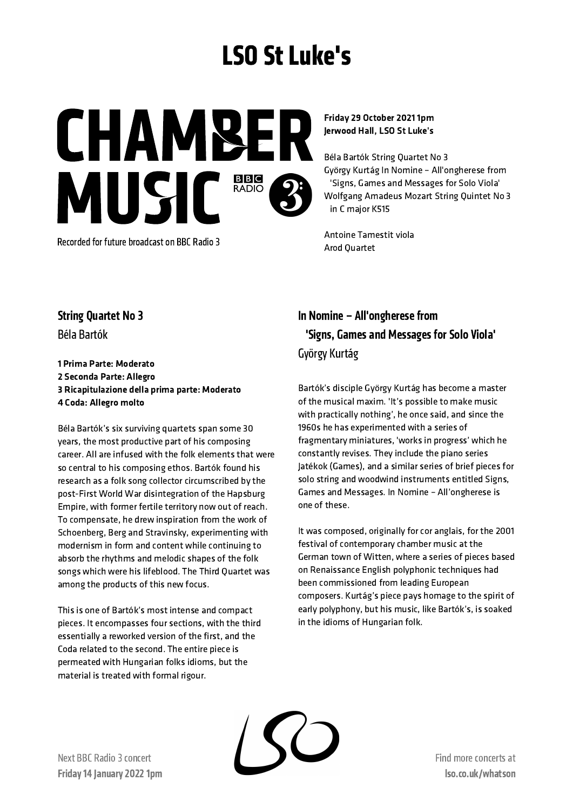# LSO St Luke's

**CHAMBE** MUSIC<sup>BBB</sup>

Recorded for future broadcast on BBC Radio 3

Friday 29 October 2021 1pm Jerwood Hall, LSO St Luke's

Béla Bartók String Quartet No 3 György Kurtág In Nomine – All'ongherese from 'Signs, Games and Messages for Solo Viola' Wolfgang Amadeus Mozart String Quintet No 3 in C major K515

Antoine Tamestit viola Arod Quartet

# String Quartet No 3

Béla Bartók

 Prima Parte: Moderato Seconda Parte: Allegro Ricapitulazione della prima parte: Moderato Coda: Allegro molto

Béla Bartók's six surviving quartets span some 30 years, the most productive part of his composing career. All are infused with the folk elements that were so central to his composing ethos. Bartók found his research as a folk song collector circumscribed by the post-First World War disintegration of the Hapsburg Empire, with former fertile territory now out of reach. To compensate, he drew inspiration from the work of Schoenberg, Berg and Stravinsky, experimenting with modernism in form and content while continuing to absorb the rhythms and melodic shapes of the folk songs which were his lifeblood. The Third Quartet was among the products of this new focus.

This is one of Bartók's most intense and compact pieces. It encompasses four sections, with the third essentially a reworked version of the first, and the Coda related to the second. The entire piece is permeated with Hungarian folks idioms, but the material is treated with formal rigour.

# In Nomine – All'ongherese from 'Signs, Games and Messages for Solo Viola' György Kurtág

Bartók's disciple György Kurtág has become a master of the musical maxim. 'It's possible to make music with practically nothing', he once said, and since the 1960s he has experimented with a series of fragmentary miniatures, 'works in progress' which he constantly revises. They include the piano series Jatékok (Games), and a similar series of brief pieces for solo string and woodwind instruments entitled Signs, Games and Messages. In Nomine – All'ongherese is one of these.

It was composed, originally for cor anglais, for the 2001 festival of contemporary chamber music at the German town of Witten, where a series of pieces based on Renaissance English polyphonic techniques had been commissioned from leading European composers. Kurtág's piece pays homage to the spirit of early polyphony, but his music, like Bartók's, is soaked in the idioms of Hungarian folk.

Next BBC Radio 3 concert Friday 14 January 2022 1pm Find more concertsat lso.co.uk/whatson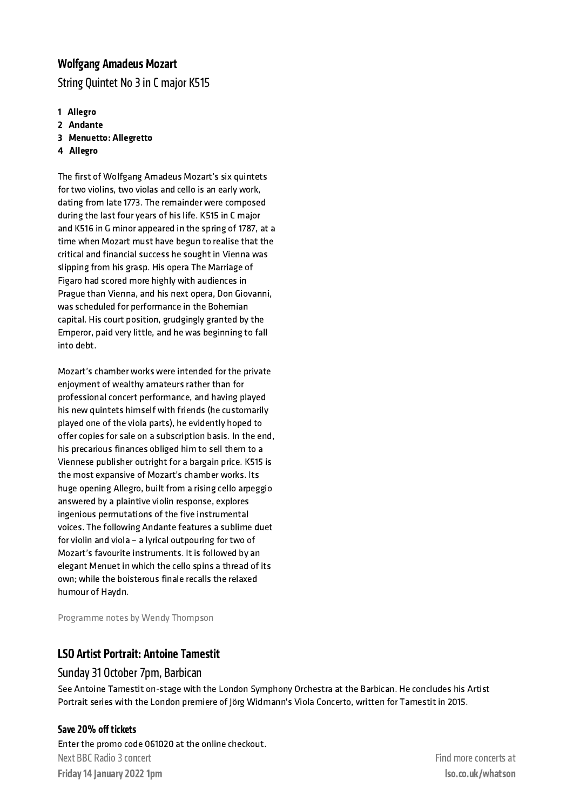## Wolfgang Amadeus Mozart

String Quintet No 3 in C major K515

- 1 Allegro
- 2 Andante
- 3 Menuetto: Allegretto
- 4 Allegro

The first of Wolfgang Amadeus Mozart's six quintets for two violins, two violas and cello is an early work, dating from late 1773. The remainder were composed during the last four years of his life. K515 in C major and K516 in G minor appeared in the spring of 1787, at a time when Mozart must have begun to realise that the critical and financial success he sought in Vienna was slipping from his grasp. His opera The Marriage of Figaro had scored more highly with audiences in Prague than Vienna, and his next opera, Don Giovanni, was scheduled for performance in the Bohemian capital. His court position, grudgingly granted by the Emperor, paid very little, and he was beginning to fall into debt.

Mozart's chamber works were intended for the private enjoyment of wealthy amateurs rather than for professional concert performance, and having played his new quintets himself with friends (he customarily played one of the viola parts), he evidently hoped to offer copies for sale on a subscription basis. In the end, his precarious finances obliged him to sell them to a Viennese publisher outright for a bargain price. K515 is the most expansive of Mozart's chamber works. Its huge opening Allegro, built from a rising cello arpeggio answered by a plaintive violin response, explores ingenious permutations of the five instrumental voices. The following Andante features a sublime duet for violin and viola – a lyrical outpouring for two of Mozart's favourite instruments. It is followed by an elegant Menuet in which the cello spins a thread of its own; while the boisterous finale recalls the relaxed humour of Haydn.

Programme notes by Wendy Thompson

## LSO Artist Portrait: Antoine Tamestit

#### Sunday 31 October 7pm, Barbican

See Antoine Tamestit on-stage with the London Symphony Orchestra at the Barbican. He concludes his Artist Portrait series with the London premiere of Jörg Widmann's Viola Concerto, written for Tamestit in 2015.

#### Save 20% off tickets

Enter the promo code 061020 at the online checkout. Next BBC Radio 3 concert Friday 14 January 2022 1pm

Find more concertsat lso.co.uk/whatson